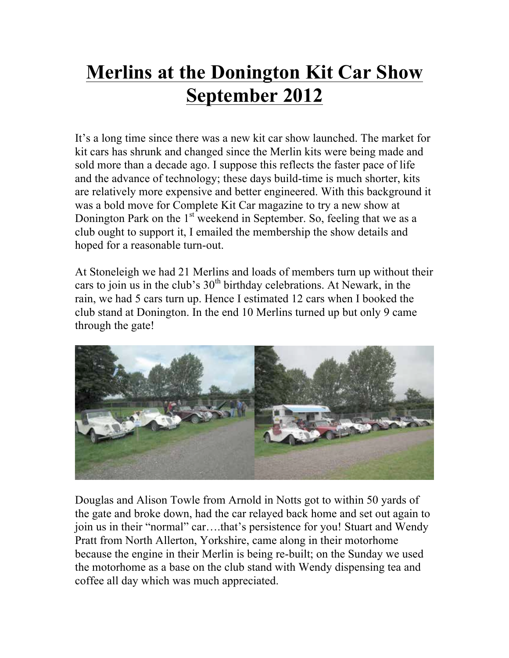## **Merlins at the Donington Kit Car Show September 2012**

It's a long time since there was a new kit car show launched. The market for kit cars has shrunk and changed since the Merlin kits were being made and sold more than a decade ago. I suppose this reflects the faster pace of life and the advance of technology; these days build-time is much shorter, kits are relatively more expensive and better engineered. With this background it was a bold move for Complete Kit Car magazine to try a new show at Donington Park on the  $1<sup>st</sup>$  weekend in September. So, feeling that we as a club ought to support it, I emailed the membership the show details and hoped for a reasonable turn-out.

At Stoneleigh we had 21 Merlins and loads of members turn up without their cars to join us in the club's  $30<sup>th</sup>$  birthday celebrations. At Newark, in the rain, we had 5 cars turn up. Hence I estimated 12 cars when I booked the club stand at Donington. In the end 10 Merlins turned up but only 9 came through the gate!



Douglas and Alison Towle from Arnold in Notts got to within 50 yards of the gate and broke down, had the car relayed back home and set out again to join us in their "normal" car….that's persistence for you! Stuart and Wendy Pratt from North Allerton, Yorkshire, came along in their motorhome because the engine in their Merlin is being re-built; on the Sunday we used the motorhome as a base on the club stand with Wendy dispensing tea and coffee all day which was much appreciated.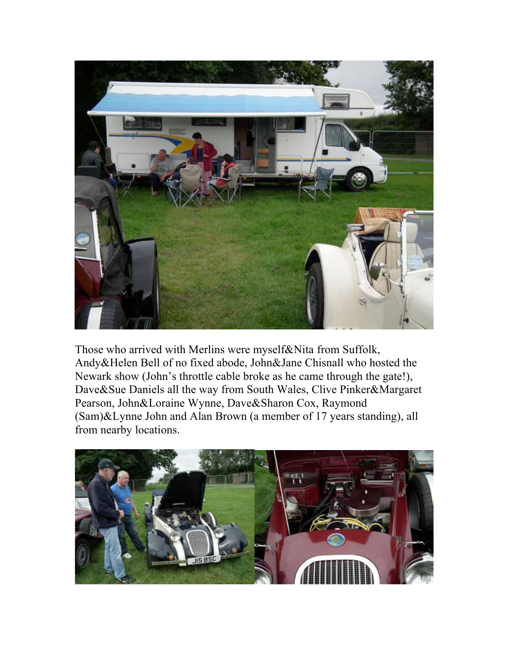

Those who arrived with Merlins were myself&Nita from Suffolk, Andy&Helen Bell of no fixed abode, John&Jane Chisnall who hosted the Newark show (John's throttle cable broke as he came through the gate!), Dave&Sue Daniels all the way from South Wales, Clive Pinker&Margaret Pearson, John&Loraine Wynne, Dave&Sharon Cox, Raymond (Sam)&Lynne John and Alan Brown (a member of 17 years standing), all from nearby locations.

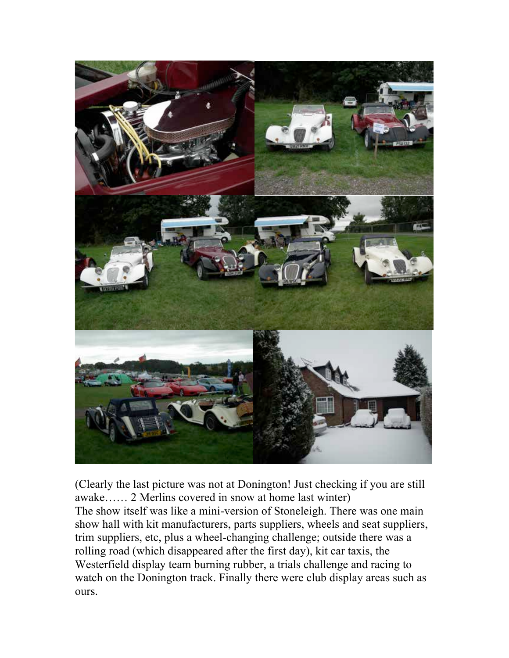

(Clearly the last picture was not at Donington! Just checking if you are still awake…… 2 Merlins covered in snow at home last winter) The show itself was like a mini-version of Stoneleigh. There was one main show hall with kit manufacturers, parts suppliers, wheels and seat suppliers, trim suppliers, etc, plus a wheel-changing challenge; outside there was a rolling road (which disappeared after the first day), kit car taxis, the Westerfield display team burning rubber, a trials challenge and racing to watch on the Donington track. Finally there were club display areas such as ours.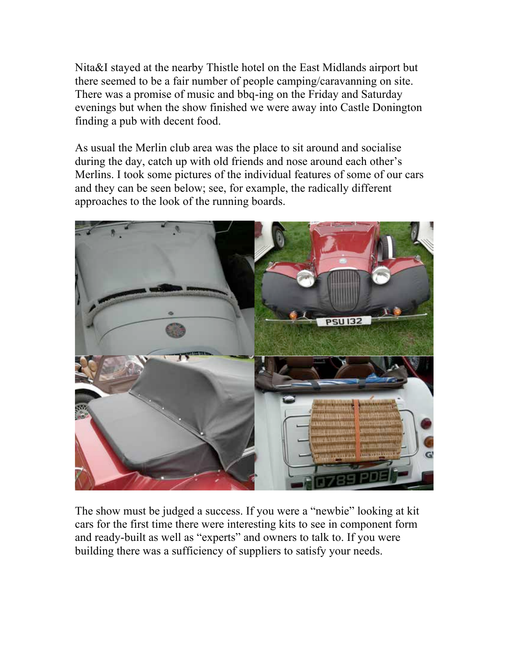Nita&I stayed at the nearby Thistle hotel on the East Midlands airport but there seemed to be a fair number of people camping/caravanning on site. There was a promise of music and bbq-ing on the Friday and Saturday evenings but when the show finished we were away into Castle Donington finding a pub with decent food.

As usual the Merlin club area was the place to sit around and socialise during the day, catch up with old friends and nose around each other's Merlins. I took some pictures of the individual features of some of our cars and they can be seen below; see, for example, the radically different approaches to the look of the running boards.



The show must be judged a success. If you were a "newbie" looking at kit cars for the first time there were interesting kits to see in component form and ready-built as well as "experts" and owners to talk to. If you were building there was a sufficiency of suppliers to satisfy your needs.